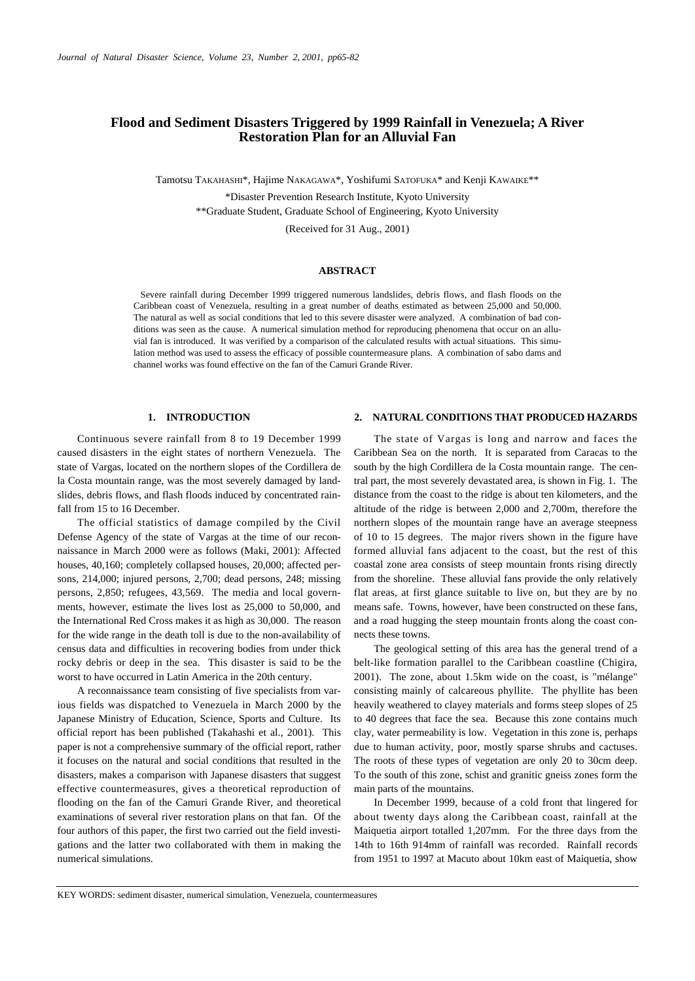# **Flood and Sediment Disasters Triggered by 1999 Rainfall in Venezuela; A River Restoration Plan for an Alluvial Fan**

Tamotsu TAKAHASHI\*, Hajime NAKAGAWA\*, Yoshifumi SATOFUKA\* and Kenji KAWAIKE\*\*

\*Disaster Prevention Research Institute, Kyoto University \*\*Graduate Student, Graduate School of Engineering, Kyoto University

(Received for 31 Aug., 2001)

### **ABSTRACT**

Severe rainfall during December 1999 triggered numerous landslides, debris flows, and flash floods on the Caribbean coast of Venezuela, resulting in a great number of deaths estimated as between 25,000 and 50,000. The natural as well as social conditions that led to this severe disaster were analyzed. A combination of bad conditions was seen as the cause. A numerical simulation method for reproducing phenomena that occur on an alluvial fan is introduced. It was verified by a comparison of the calculated results with actual situations. This simulation method was used to assess the efficacy of possible countermeasure plans. A combination of sabo dams and channel works was found effective on the fan of the Camuri Grande River.

#### **1. INTRODUCTION**

Continuous severe rainfall from 8 to 19 December 1999 caused disasters in the eight states of northern Venezuela. The state of Vargas, located on the northern slopes of the Cordillera de la Costa mountain range, was the most severely damaged by landslides, debris flows, and flash floods induced by concentrated rainfall from 15 to 16 December.

The official statistics of damage compiled by the Civil Defense Agency of the state of Vargas at the time of our reconnaissance in March 2000 were as follows (Maki, 2001): Affected houses, 40,160; completely collapsed houses, 20,000; affected persons, 214,000; injured persons, 2,700; dead persons, 248; missing persons, 2,850; refugees, 43,569. The media and local governments, however, estimate the lives lost as 25,000 to 50,000, and the International Red Cross makes it as high as 30,000. The reason for the wide range in the death toll is due to the non-availability of census data and difficulties in recovering bodies from under thick rocky debris or deep in the sea. This disaster is said to be the worst to have occurred in Latin America in the 20th century.

A reconnaissance team consisting of five specialists from various fields was dispatched to Venezuela in March 2000 by the Japanese Ministry of Education, Science, Sports and Culture. Its official report has been published (Takahashi et al., 2001). This paper is not a comprehensive summary of the official report, rather it focuses on the natural and social conditions that resulted in the disasters, makes a comparison with Japanese disasters that suggest effective countermeasures, gives a theoretical reproduction of flooding on the fan of the Camuri Grande River, and theoretical examinations of several river restoration plans on that fan. Of the four authors of this paper, the first two carried out the field investigations and the latter two collaborated with them in making the numerical simulations.

#### **2. NATURAL CONDITIONS THAT PRODUCED HAZARDS**

The state of Vargas is long and narrow and faces the Caribbean Sea on the north. It is separated from Caracas to the south by the high Cordillera de la Costa mountain range. The central part, the most severely devastated area, is shown in Fig. 1. The distance from the coast to the ridge is about ten kilometers, and the altitude of the ridge is between 2,000 and 2,700m, therefore the northern slopes of the mountain range have an average steepness of 10 to 15 degrees. The major rivers shown in the figure have formed alluvial fans adjacent to the coast, but the rest of this coastal zone area consists of steep mountain fronts rising directly from the shoreline. These alluvial fans provide the only relatively flat areas, at first glance suitable to live on, but they are by no means safe. Towns, however, have been constructed on these fans, and a road hugging the steep mountain fronts along the coast connects these towns.

The geological setting of this area has the general trend of a belt-like formation parallel to the Caribbean coastline (Chigira, 2001). The zone, about 1.5km wide on the coast, is "mélange" consisting mainly of calcareous phyllite. The phyllite has been heavily weathered to clayey materials and forms steep slopes of 25 to 40 degrees that face the sea. Because this zone contains much clay, water permeability is low. Vegetation in this zone is, perhaps due to human activity, poor, mostly sparse shrubs and cactuses. The roots of these types of vegetation are only 20 to 30cm deep. To the south of this zone, schist and granitic gneiss zones form the main parts of the mountains.

In December 1999, because of a cold front that lingered for about twenty days along the Caribbean coast, rainfall at the Maiquetia airport totalled 1,207mm. For the three days from the 14th to 16th 914mm of rainfall was recorded. Rainfall records from 1951 to 1997 at Macuto about 10km east of Maiquetia, show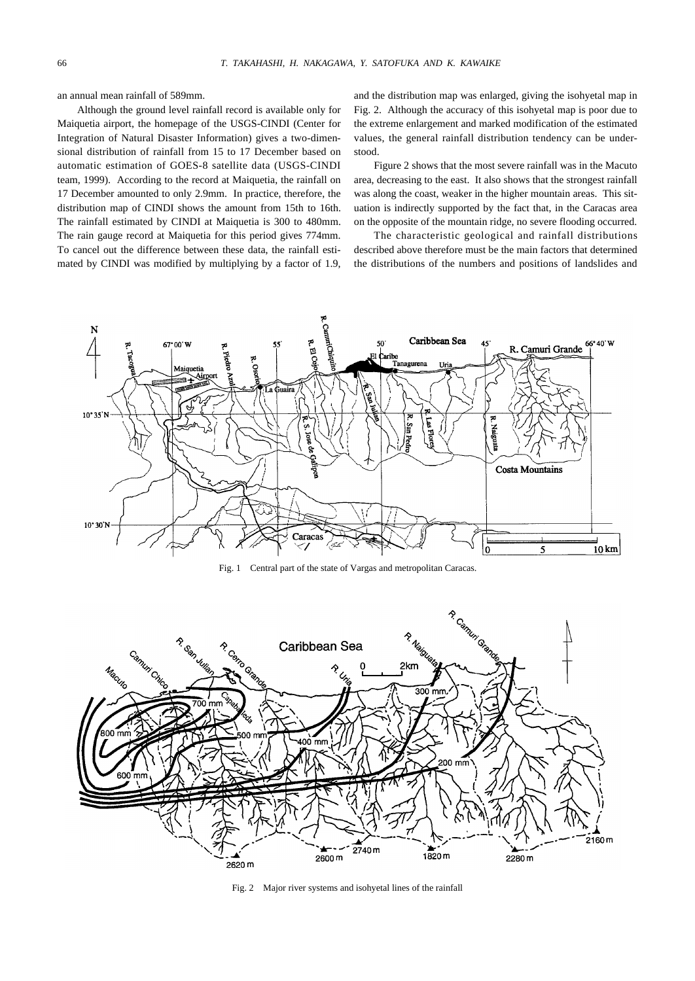an annual mean rainfall of 589mm.

Although the ground level rainfall record is available only for Maiquetia airport, the homepage of the USGS-CINDI (Center for Integration of Natural Disaster Information) gives a two-dimensional distribution of rainfall from 15 to 17 December based on automatic estimation of GOES-8 satellite data (USGS-CINDI team, 1999). According to the record at Maiquetia, the rainfall on 17 December amounted to only 2.9mm. In practice, therefore, the distribution map of CINDI shows the amount from 15th to 16th. The rainfall estimated by CINDI at Maiquetia is 300 to 480mm. The rain gauge record at Maiquetia for this period gives 774mm. To cancel out the difference between these data, the rainfall estimated by CINDI was modified by multiplying by a factor of 1.9,

and the distribution map was enlarged, giving the isohyetal map in Fig. 2. Although the accuracy of this isohyetal map is poor due to the extreme enlargement and marked modification of the estimated values, the general rainfall distribution tendency can be understood.

Figure 2 shows that the most severe rainfall was in the Macuto area, decreasing to the east. It also shows that the strongest rainfall was along the coast, weaker in the higher mountain areas. This situation is indirectly supported by the fact that, in the Caracas area on the opposite of the mountain ridge, no severe flooding occurred.

The characteristic geological and rainfall distributions described above therefore must be the main factors that determined the distributions of the numbers and positions of landslides and



Fig. 1 Central part of the state of Vargas and metropolitan Caracas.



Fig. 2 Major river systems and isohyetal lines of the rainfall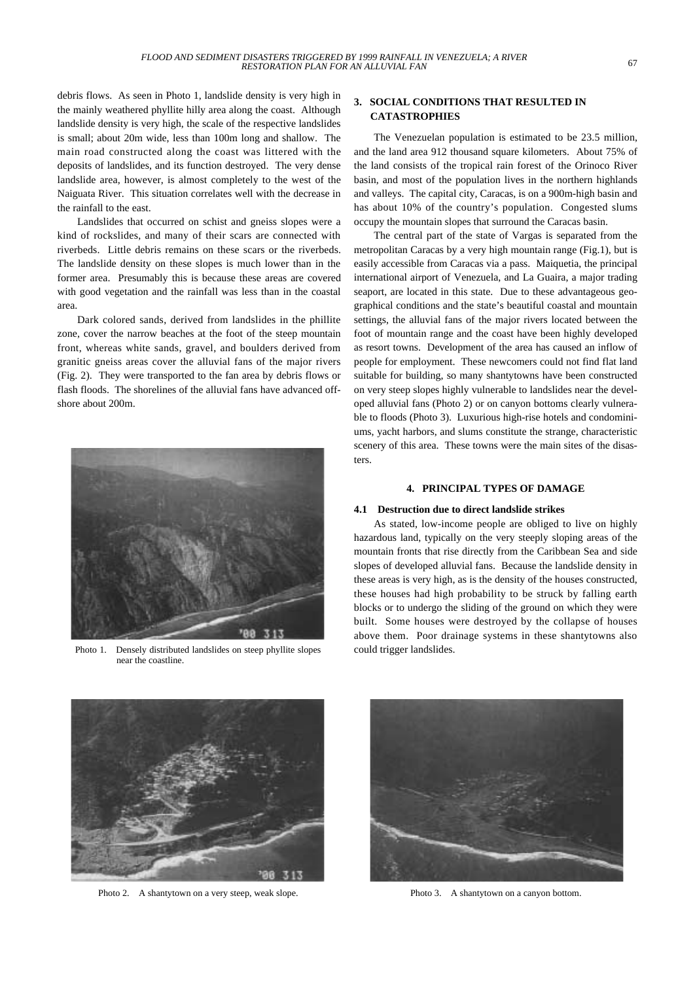debris flows. As seen in Photo 1, landslide density is very high in the mainly weathered phyllite hilly area along the coast. Although landslide density is very high, the scale of the respective landslides is small; about 20m wide, less than 100m long and shallow. The main road constructed along the coast was littered with the deposits of landslides, and its function destroyed. The very dense landslide area, however, is almost completely to the west of the Naiguata River. This situation correlates well with the decrease in the rainfall to the east.

Landslides that occurred on schist and gneiss slopes were a kind of rockslides, and many of their scars are connected with riverbeds. Little debris remains on these scars or the riverbeds. The landslide density on these slopes is much lower than in the former area. Presumably this is because these areas are covered with good vegetation and the rainfall was less than in the coastal area.

Dark colored sands, derived from landslides in the phillite zone, cover the narrow beaches at the foot of the steep mountain front, whereas white sands, gravel, and boulders derived from granitic gneiss areas cover the alluvial fans of the major rivers (Fig. 2). They were transported to the fan area by debris flows or flash floods. The shorelines of the alluvial fans have advanced offshore about 200m.



Photo 1. Densely distributed landslides on steep phyllite slopes near the coastline.

# **3. SOCIAL CONDITIONS THAT RESULTED IN CATASTROPHIES**

The Venezuelan population is estimated to be 23.5 million, and the land area 912 thousand square kilometers. About 75% of the land consists of the tropical rain forest of the Orinoco River basin, and most of the population lives in the northern highlands and valleys. The capital city, Caracas, is on a 900m-high basin and has about 10% of the country's population. Congested slums occupy the mountain slopes that surround the Caracas basin.

The central part of the state of Vargas is separated from the metropolitan Caracas by a very high mountain range (Fig.1), but is easily accessible from Caracas via a pass. Maiquetia, the principal international airport of Venezuela, and La Guaira, a major trading seaport, are located in this state. Due to these advantageous geographical conditions and the state's beautiful coastal and mountain settings, the alluvial fans of the major rivers located between the foot of mountain range and the coast have been highly developed as resort towns. Development of the area has caused an inflow of people for employment. These newcomers could not find flat land suitable for building, so many shantytowns have been constructed on very steep slopes highly vulnerable to landslides near the developed alluvial fans (Photo 2) or on canyon bottoms clearly vulnerable to floods (Photo 3). Luxurious high-rise hotels and condominiums, yacht harbors, and slums constitute the strange, characteristic scenery of this area. These towns were the main sites of the disasters.

## **4. PRINCIPAL TYPES OF DAMAGE**

## **4.1 Destruction due to direct landslide strikes**

As stated, low-income people are obliged to live on highly hazardous land, typically on the very steeply sloping areas of the mountain fronts that rise directly from the Caribbean Sea and side slopes of developed alluvial fans. Because the landslide density in these areas is very high, as is the density of the houses constructed, these houses had high probability to be struck by falling earth blocks or to undergo the sliding of the ground on which they were built. Some houses were destroyed by the collapse of houses above them. Poor drainage systems in these shantytowns also could trigger landslides.



Photo 2. A shantytown on a very steep, weak slope.



Photo 3. A shantytown on a canyon bottom.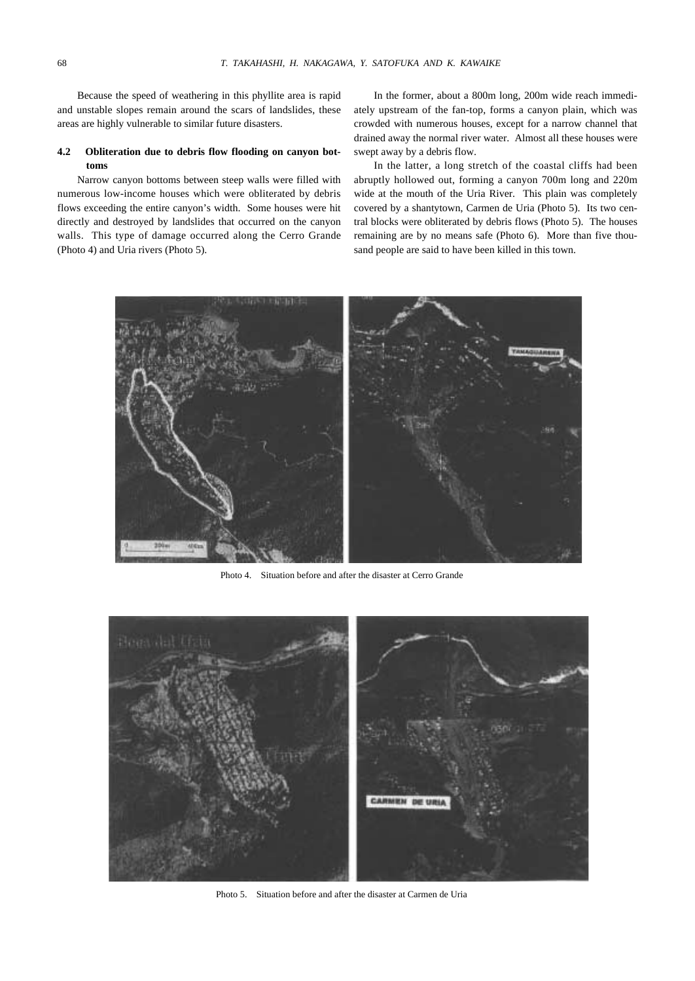Because the speed of weathering in this phyllite area is rapid and unstable slopes remain around the scars of landslides, these areas are highly vulnerable to similar future disasters.

## **4.2 Obliteration due to debris flow flooding on canyon bottoms**

Narrow canyon bottoms between steep walls were filled with numerous low-income houses which were obliterated by debris flows exceeding the entire canyon's width. Some houses were hit directly and destroyed by landslides that occurred on the canyon walls. This type of damage occurred along the Cerro Grande (Photo 4) and Uria rivers (Photo 5).

In the former, about a 800m long, 200m wide reach immediately upstream of the fan-top, forms a canyon plain, which was crowded with numerous houses, except for a narrow channel that drained away the normal river water. Almost all these houses were swept away by a debris flow.

In the latter, a long stretch of the coastal cliffs had been abruptly hollowed out, forming a canyon 700m long and 220m wide at the mouth of the Uria River. This plain was completely covered by a shantytown, Carmen de Uria (Photo 5). Its two central blocks were obliterated by debris flows (Photo 5). The houses remaining are by no means safe (Photo 6). More than five thousand people are said to have been killed in this town.



Photo 4. Situation before and after the disaster at Cerro Grande



Photo 5. Situation before and after the disaster at Carmen de Uria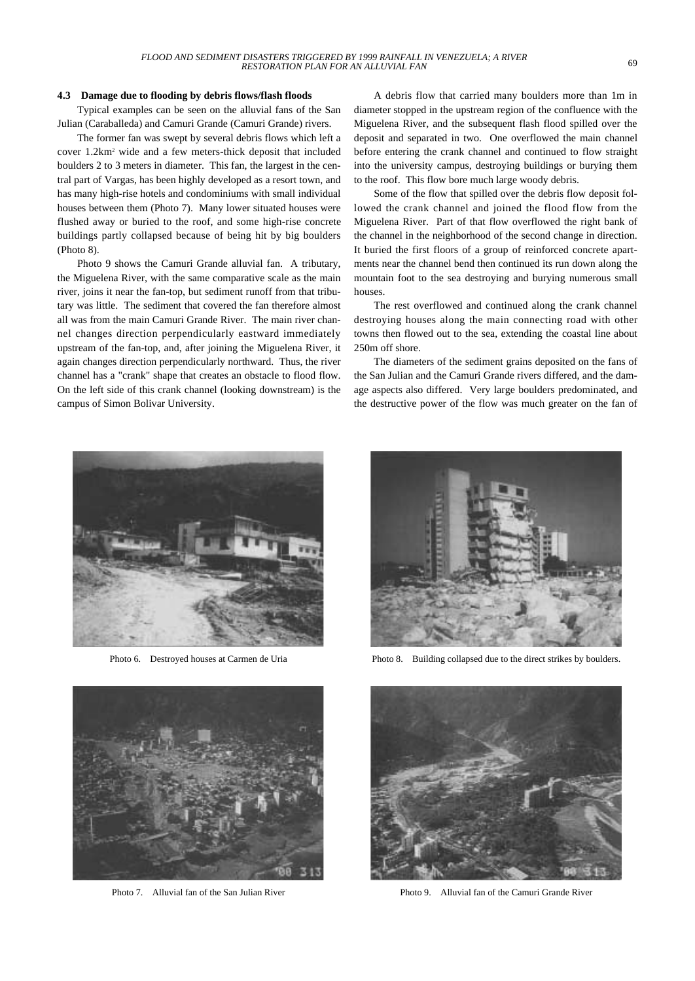#### **4.3 Damage due to flooding by debris flows/flash floods**

Typical examples can be seen on the alluvial fans of the San Julian (Caraballeda) and Camuri Grande (Camuri Grande) rivers.

The former fan was swept by several debris flows which left a cover 1.2km2 wide and a few meters-thick deposit that included boulders 2 to 3 meters in diameter. This fan, the largest in the central part of Vargas, has been highly developed as a resort town, and has many high-rise hotels and condominiums with small individual houses between them (Photo 7). Many lower situated houses were flushed away or buried to the roof, and some high-rise concrete buildings partly collapsed because of being hit by big boulders (Photo 8).

Photo 9 shows the Camuri Grande alluvial fan. A tributary, the Miguelena River, with the same comparative scale as the main river, joins it near the fan-top, but sediment runoff from that tributary was little. The sediment that covered the fan therefore almost all was from the main Camuri Grande River. The main river channel changes direction perpendicularly eastward immediately upstream of the fan-top, and, after joining the Miguelena River, it again changes direction perpendicularly northward. Thus, the river channel has a "crank" shape that creates an obstacle to flood flow. On the left side of this crank channel (looking downstream) is the campus of Simon Bolivar University.

A debris flow that carried many boulders more than 1m in diameter stopped in the upstream region of the confluence with the Miguelena River, and the subsequent flash flood spilled over the deposit and separated in two. One overflowed the main channel before entering the crank channel and continued to flow straight into the university campus, destroying buildings or burying them to the roof. This flow bore much large woody debris.

Some of the flow that spilled over the debris flow deposit followed the crank channel and joined the flood flow from the Miguelena River. Part of that flow overflowed the right bank of the channel in the neighborhood of the second change in direction. It buried the first floors of a group of reinforced concrete apartments near the channel bend then continued its run down along the mountain foot to the sea destroying and burying numerous small houses.

The rest overflowed and continued along the crank channel destroying houses along the main connecting road with other towns then flowed out to the sea, extending the coastal line about 250m off shore.

The diameters of the sediment grains deposited on the fans of the San Julian and the Camuri Grande rivers differed, and the damage aspects also differed. Very large boulders predominated, and the destructive power of the flow was much greater on the fan of



Photo 6. Destroyed houses at Carmen de Uria



Photo 8. Building collapsed due to the direct strikes by boulders.





Photo 7. Alluvial fan of the San Julian River Photo 9. Alluvial fan of the Camuri Grande River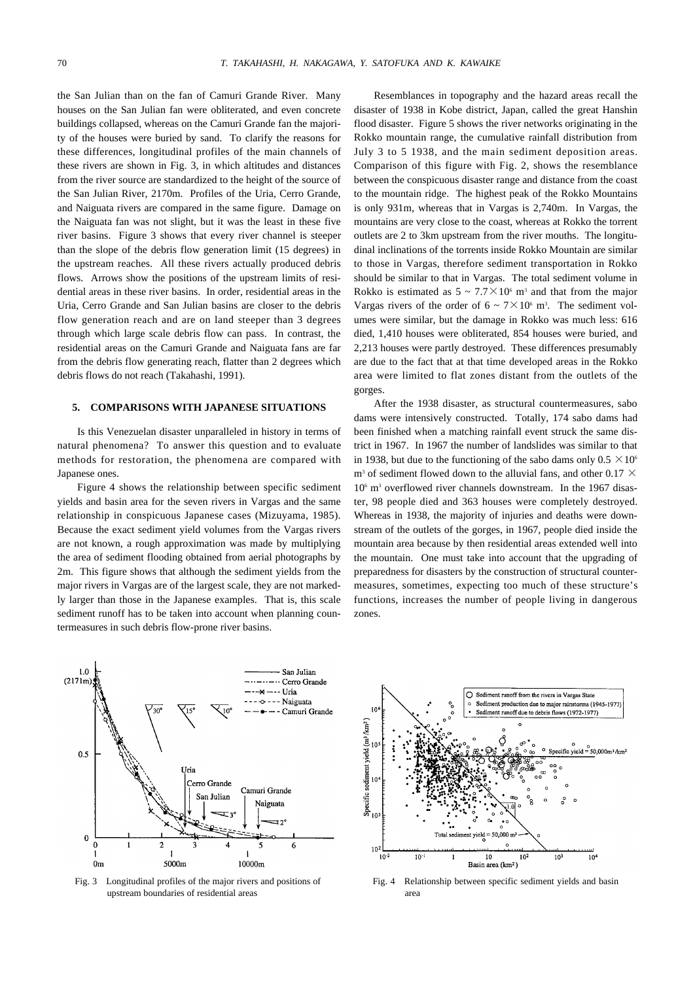the San Julian than on the fan of Camuri Grande River. Many houses on the San Julian fan were obliterated, and even concrete buildings collapsed, whereas on the Camuri Grande fan the majority of the houses were buried by sand. To clarify the reasons for these differences, longitudinal profiles of the main channels of these rivers are shown in Fig. 3, in which altitudes and distances from the river source are standardized to the height of the source of the San Julian River, 2170m. Profiles of the Uria, Cerro Grande, and Naiguata rivers are compared in the same figure. Damage on the Naiguata fan was not slight, but it was the least in these five river basins. Figure 3 shows that every river channel is steeper than the slope of the debris flow generation limit (15 degrees) in the upstream reaches. All these rivers actually produced debris flows. Arrows show the positions of the upstream limits of residential areas in these river basins. In order, residential areas in the Uria, Cerro Grande and San Julian basins are closer to the debris flow generation reach and are on land steeper than 3 degrees through which large scale debris flow can pass. In contrast, the residential areas on the Camuri Grande and Naiguata fans are far from the debris flow generating reach, flatter than 2 degrees which debris flows do not reach (Takahashi, 1991).

### **5. COMPARISONS WITH JAPANESE SITUATIONS**

Is this Venezuelan disaster unparalleled in history in terms of natural phenomena? To answer this question and to evaluate methods for restoration, the phenomena are compared with Japanese ones.

Figure 4 shows the relationship between specific sediment yields and basin area for the seven rivers in Vargas and the same relationship in conspicuous Japanese cases (Mizuyama, 1985). Because the exact sediment yield volumes from the Vargas rivers are not known, a rough approximation was made by multiplying the area of sediment flooding obtained from aerial photographs by 2m. This figure shows that although the sediment yields from the major rivers in Vargas are of the largest scale, they are not markedly larger than those in the Japanese examples. That is, this scale sediment runoff has to be taken into account when planning countermeasures in such debris flow-prone river basins.

Resemblances in topography and the hazard areas recall the disaster of 1938 in Kobe district, Japan, called the great Hanshin flood disaster. Figure 5 shows the river networks originating in the Rokko mountain range, the cumulative rainfall distribution from July 3 to 5 1938, and the main sediment deposition areas. Comparison of this figure with Fig. 2, shows the resemblance between the conspicuous disaster range and distance from the coast to the mountain ridge. The highest peak of the Rokko Mountains is only 931m, whereas that in Vargas is 2,740m. In Vargas, the mountains are very close to the coast, whereas at Rokko the torrent outlets are 2 to 3km upstream from the river mouths. The longitudinal inclinations of the torrents inside Rokko Mountain are similar to those in Vargas, therefore sediment transportation in Rokko should be similar to that in Vargas. The total sediment volume in Rokko is estimated as  $5 \sim 7.7 \times 10^6$  m<sup>3</sup> and that from the major Vargas rivers of the order of  $6 \sim 7 \times 10^6$  m<sup>3</sup>. The sediment volumes were similar, but the damage in Rokko was much less: 616 died, 1,410 houses were obliterated, 854 houses were buried, and 2,213 houses were partly destroyed. These differences presumably are due to the fact that at that time developed areas in the Rokko area were limited to flat zones distant from the outlets of the gorges.

After the 1938 disaster, as structural countermeasures, sabo dams were intensively constructed. Totally, 174 sabo dams had been finished when a matching rainfall event struck the same district in 1967. In 1967 the number of landslides was similar to that in 1938, but due to the functioning of the sabo dams only  $0.5 \times 10^6$  $m<sup>3</sup>$  of sediment flowed down to the alluvial fans, and other 0.17  $\times$  $10<sup>6</sup>$  m<sup>3</sup> overflowed river channels downstream. In the 1967 disaster, 98 people died and 363 houses were completely destroyed. Whereas in 1938, the majority of injuries and deaths were downstream of the outlets of the gorges, in 1967, people died inside the mountain area because by then residential areas extended well into the mountain. One must take into account that the upgrading of preparedness for disasters by the construction of structural countermeasures, sometimes, expecting too much of these structure's functions, increases the number of people living in dangerous zones.



Fig. 3 Longitudinal profiles of the major rivers and positions of upstream boundaries of residential areas



Fig. 4 Relationship between specific sediment yields and basin area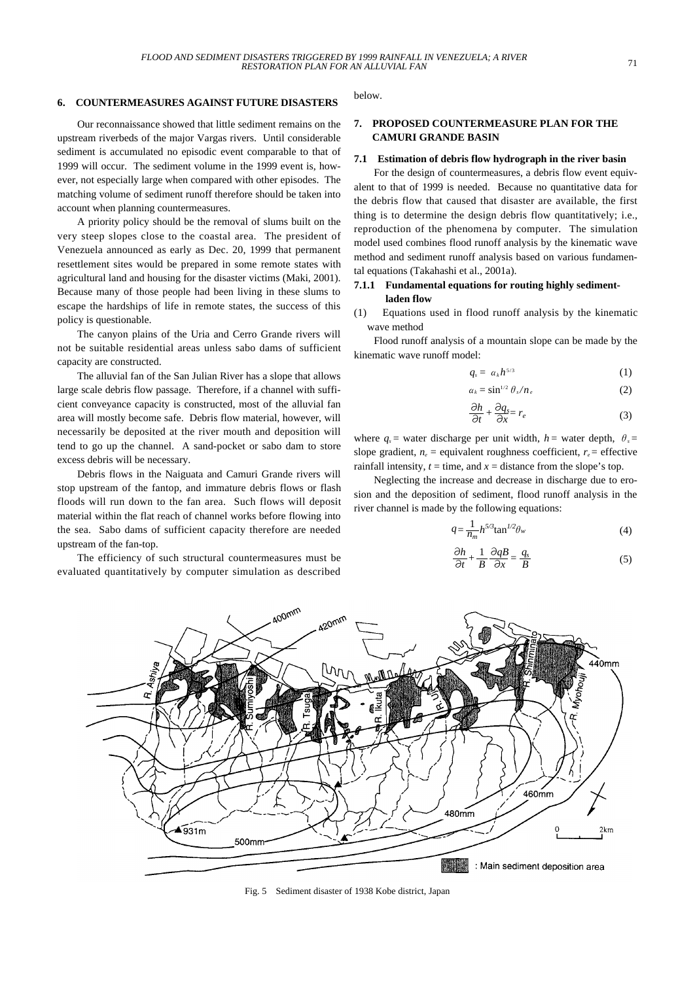#### **6. COUNTERMEASURES AGAINST FUTURE DISASTERS**

Our reconnaissance showed that little sediment remains on the upstream riverbeds of the major Vargas rivers. Until considerable sediment is accumulated no episodic event comparable to that of 1999 will occur. The sediment volume in the 1999 event is, however, not especially large when compared with other episodes. The matching volume of sediment runoff therefore should be taken into account when planning countermeasures.

A priority policy should be the removal of slums built on the very steep slopes close to the coastal area. The president of Venezuela announced as early as Dec. 20, 1999 that permanent resettlement sites would be prepared in some remote states with agricultural land and housing for the disaster victims (Maki, 2001). Because many of those people had been living in these slums to escape the hardships of life in remote states, the success of this policy is questionable.

The canyon plains of the Uria and Cerro Grande rivers will not be suitable residential areas unless sabo dams of sufficient capacity are constructed.

The alluvial fan of the San Julian River has a slope that allows large scale debris flow passage. Therefore, if a channel with sufficient conveyance capacity is constructed, most of the alluvial fan area will mostly become safe. Debris flow material, however, will necessarily be deposited at the river mouth and deposition will tend to go up the channel. A sand-pocket or sabo dam to store excess debris will be necessary.

Debris flows in the Naiguata and Camuri Grande rivers will stop upstream of the fantop, and immature debris flows or flash floods will run down to the fan area. Such flows will deposit material within the flat reach of channel works before flowing into the sea. Sabo dams of sufficient capacity therefore are needed upstream of the fan-top.

The efficiency of such structural countermeasures must be evaluated quantitatively by computer simulation as described below.

## **7. PROPOSED COUNTERMEASURE PLAN FOR THE CAMURI GRANDE BASIN**

#### **7.1 Estimation of debris flow hydrograph in the river basin**

For the design of countermeasures, a debris flow event equivalent to that of 1999 is needed. Because no quantitative data for the debris flow that caused that disaster are available, the first thing is to determine the design debris flow quantitatively; i.e., reproduction of the phenomena by computer. The simulation model used combines flood runoff analysis by the kinematic wave method and sediment runoff analysis based on various fundamental equations (Takahashi et al., 2001a).

## **7.1.1 Fundamental equations for routing highly sedimentladen flow**

(1) Equations used in flood runoff analysis by the kinematic wave method

Flood runoff analysis of a mountain slope can be made by the kinematic wave runoff model:

$$
q_s = \alpha_k h^{5/3} \tag{1}
$$

$$
\alpha_k = \sin^{1/2} \theta_s / n_e \tag{2}
$$

$$
\frac{\partial h}{\partial t} + \frac{\partial q_s}{\partial x} = r_e \tag{3}
$$

where  $q_s$  = water discharge per unit width,  $h$  = water depth,  $\theta_s$  = slope gradient,  $n_e$  = equivalent roughness coefficient,  $r_e$  = effective rainfall intensity,  $t =$  time, and  $x =$  distance from the slope's top.

Neglecting the increase and decrease in discharge due to erosion and the deposition of sediment, flood runoff analysis in the river channel is made by the following equations:

$$
q = \frac{1}{n_m} h^{5/3} \tan^{1/2} \theta_w \tag{4}
$$

$$
\frac{\partial h}{\partial t} + \frac{1}{B} \frac{\partial qB}{\partial x} = \frac{q_s}{B}
$$
 (5)



Fig. 5 Sediment disaster of 1938 Kobe district, Japan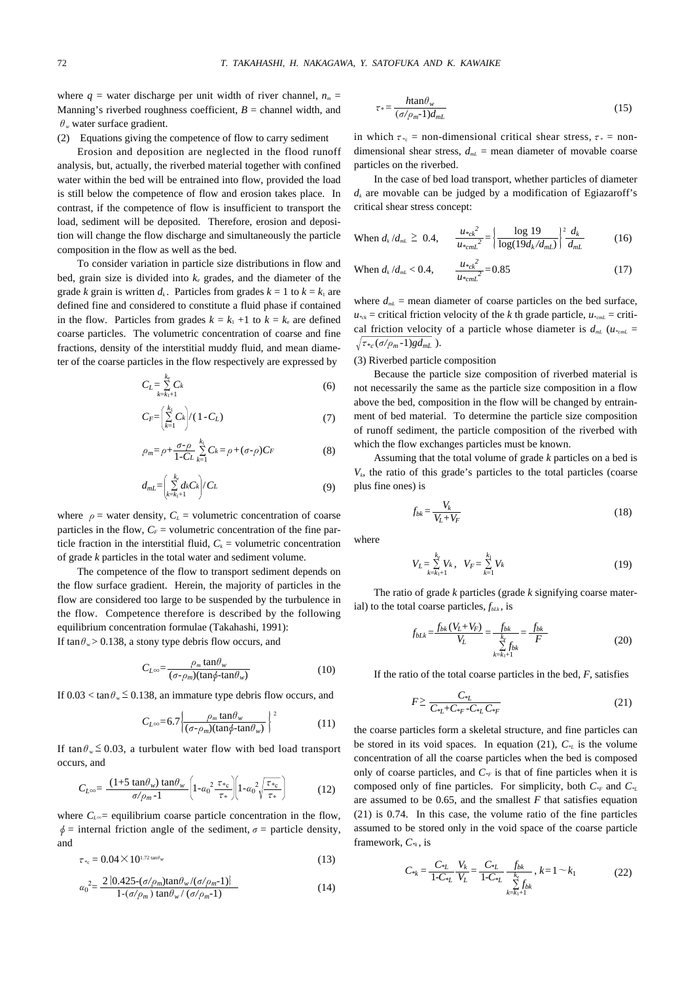where  $q =$  water discharge per unit width of river channel,  $n_m =$ Manning's riverbed roughness coefficient,  $B =$  channel width, and  $\theta$ <sub>*w*</sub> water surface gradient.

(2) Equations giving the competence of flow to carry sediment

Erosion and deposition are neglected in the flood runoff analysis, but, actually, the riverbed material together with confined water within the bed will be entrained into flow, provided the load is still below the competence of flow and erosion takes place. In contrast, if the competence of flow is insufficient to transport the load, sediment will be deposited. Therefore, erosion and deposition will change the flow discharge and simultaneously the particle composition in the flow as well as the bed.

To consider variation in particle size distributions in flow and bed, grain size is divided into  $k_e$  grades, and the diameter of the grade *k* grain is written  $d_k$ . Particles from grades  $k = 1$  to  $k = k_1$  are defined fine and considered to constitute a fluid phase if contained in the flow. Particles from grades  $k = k_1 + 1$  to  $k = k_e$  are defined coarse particles. The volumetric concentration of coarse and fine fractions, density of the interstitial muddy fluid, and mean diameter of the coarse particles in the flow respectively are expressed by

$$
C_L = \sum_{k=k_1+1}^{k_1} C_k \tag{6}
$$

$$
C_F = \left(\sum_{k=1}^{k_1} C_k\right) / (1 - C_L) \tag{7}
$$

$$
\rho_m = \rho + \frac{\sigma \cdot \rho}{1 - C_L} \sum_{k=1}^{k_1} C_k = \rho + (\sigma \cdot \rho) C_F \tag{8}
$$

$$
d_{mL} = \left(\sum_{k=k_1+1}^{k_e} d_k C_k\right) / C_L \tag{9}
$$

where  $\rho$  = water density,  $C_L$  = volumetric concentration of coarse particles in the flow,  $C_F$  = volumetric concentration of the fine particle fraction in the interstitial fluid,  $C_k$  = volumetric concentration of grade *k* particles in the total water and sediment volume.

The competence of the flow to transport sediment depends on the flow surface gradient. Herein, the majority of particles in the flow are considered too large to be suspended by the turbulence in the flow. Competence therefore is described by the following equilibrium concentration formulae (Takahashi, 1991): If  $\tan \theta_w$  > 0.138, a stony type debris flow occurs, and

$$
C_{L^{\infty}} = \frac{\rho_m \tan \theta_w}{(\sigma - \rho_m)(\tan \phi - \tan \theta_w)}
$$
(10)

If  $0.03 < \tan \theta_w \leq 0.138$ , an immature type debris flow occurs, and

$$
C_{L^{\infty}}=6.7\left\{\frac{\rho_m \tan \theta_w}{(\sigma-\rho_m)(\tan \phi - \tan \theta_w)}\right\}^2\tag{11}
$$

If  $tan \theta_w \le 0.03$ , a turbulent water flow with bed load transport occurs, and

$$
C_{L^{\infty}} = \frac{(1+5\tan\theta_w)\tan\theta_w}{\sigma/\rho_m-1} \left(1-\alpha_0^2\frac{\tau_{\ast_c}}{\tau_{\ast}}\right) \left(1-\alpha_0^2\sqrt{\frac{\tau_{\ast_c}}{\tau_{\ast}}}\right) \tag{12}
$$

where  $C_{\text{L}\infty}$ = equilibrium coarse particle concentration in the flow,  $\phi$  = internal friction angle of the sediment,  $\sigma$  = particle density, and

$$
\tau_{\ast_c} = 0.04 \times 10^{1.72 \tan \theta_w} \tag{13}
$$

$$
\alpha_0^2 = \frac{2 \left\{ 0.425 - (\sigma/\rho_m) \tan \theta_w / (\sigma/\rho_m - 1) \right\}}{1 - (\sigma/\rho_m) \tan \theta_w / (\sigma/\rho_m - 1)}
$$
(14)

$$
\tau_* = \frac{h \tan \theta_w}{(\sigma/\rho_m - 1)d_{mL}}\tag{15}
$$

in which  $\tau_{\alpha}$  = non-dimensional critical shear stress,  $\tau_{\alpha}$  = nondimensional shear stress,  $d_{m}$  = mean diameter of movable coarse particles on the riverbed.

In the case of bed load transport, whether particles of diameter  $d_k$  are movable can be judged by a modification of Egiazaroff's critical shear stress concept:

When 
$$
d_k/d_{mL} \ge 0.4
$$
, 
$$
\frac{u_{\nu c k}^2}{u_{\nu c mL}^2} = \left\{ \frac{\log 19}{\log(19d_k/d_{mL})} \right\}^2 \frac{d_k}{d_{mL}}
$$
(16)

When 
$$
d_k/d_{mL} < 0.4
$$
, 
$$
\frac{u_{kck}^2}{u_{kcm}^2} = 0.85
$$
 (17)

where  $d_{m}$  = mean diameter of coarse particles on the bed surface,  $u_{\text{tot}}$  = critical friction velocity of the *k* th grade particle,  $u_{\text{cont}}$  = critical friction velocity of a particle whose diameter is  $d_{mL}$  ( $u_{mL}$  =  $\tau_{\alpha\epsilon}(\sigma/\rho_m-1)gd_{mL}$ ).

#### (3) Riverbed particle composition

Because the particle size composition of riverbed material is not necessarily the same as the particle size composition in a flow above the bed, composition in the flow will be changed by entrainment of bed material. To determine the particle size composition of runoff sediment, the particle composition of the riverbed with which the flow exchanges particles must be known.

Assuming that the total volume of grade *k* particles on a bed is  $V_k$ , the ratio of this grade's particles to the total particles (coarse plus fine ones) is

$$
f_{bk} = \frac{V_k}{V_L + V_F} \tag{18}
$$

where

$$
V_L = \sum_{k=k_1+1}^{k_e} V_k, \quad V_F = \sum_{k=1}^{k_1} V_k
$$
 (19)

The ratio of grade *k* particles (grade *k* signifying coarse material) to the total coarse particles,  $f_{\textit{blk}}$ , is

$$
f_{bLk} = \frac{f_{bk}(V_L + V_F)}{V_L} = \frac{f_{bk}}{\sum_{k=k_1+1}^{k_s} f_{bk}} = \frac{f_{bk}}{F}
$$
(20)

If the ratio of the total coarse particles in the bed, *F*, satisfies

$$
F \geq \frac{C_{\ast_L}}{C_{\ast_L} + C_{\ast_F} - C_{\ast_L} C_{\ast_F}}\tag{21}
$$

the coarse particles form a skeletal structure, and fine particles can be stored in its void spaces. In equation (21),  $C_{\alpha}$  is the volume concentration of all the coarse particles when the bed is composed only of coarse particles, and  $C_{\text{F}}$  is that of fine particles when it is composed only of fine particles. For simplicity, both *C\*F* and *C\*L* are assumed to be 0.65, and the smallest *F* that satisfies equation (21) is 0.74. In this case, the volume ratio of the fine particles assumed to be stored only in the void space of the coarse particle framework, *C\*k* , is

$$
C_{*k} = \frac{C_{*L}}{1 - C_{*L}} \frac{V_k}{V_L} = \frac{C_{*L}}{1 - C_{*L}} \frac{f_{bk}}{\sum\limits_{k=k_1+1}^{k_c} f_{bk}}, k = 1 \sim k_1
$$
 (22)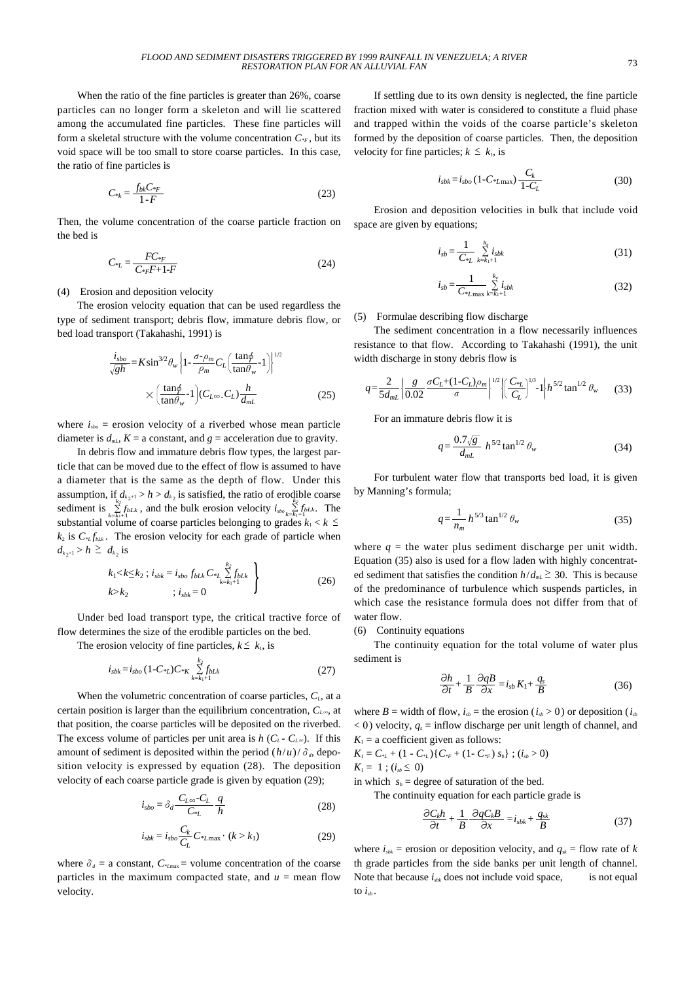When the ratio of the fine particles is greater than 26%, coarse particles can no longer form a skeleton and will lie scattered among the accumulated fine particles. These fine particles will form a skeletal structure with the volume concentration  $C_{\mathscr{F}}$ , but its void space will be too small to store coarse particles. In this case, the ratio of fine particles is

$$
C_{*k} = \frac{f_{bk}C_{*F}}{1 - F}
$$
\n
$$
(23)
$$

Then, the volume concentration of the coarse particle fraction on the bed is

$$
C_{*L} = \frac{FC_{*F}}{C_{*F}F + 1\text{-}F} \tag{24}
$$

#### (4) Erosion and deposition velocity

The erosion velocity equation that can be used regardless the type of sediment transport; debris flow, immature debris flow, or bed load transport (Takahashi, 1991) is

$$
\frac{i_{sbo}}{\sqrt{gh}} = K \sin^{3/2} \theta_w \left\{ 1 - \frac{\sigma - \rho_m}{\rho_m} C_L \left( \frac{\tan \phi}{\tan \theta_w} - 1 \right) \right\}^{1/2}
$$

$$
\times \left( \frac{\tan \phi}{\tan \theta_w} - 1 \right) (C_{L^{\infty}} \cdot C_L) \frac{h}{d_{mL}}
$$
(25)

where  $i_{\text{spo}}$  = erosion velocity of a riverbed whose mean particle diameter is  $d_{m}$ ,  $K = a$  constant, and  $g =$  acceleration due to gravity.

In debris flow and immature debris flow types, the largest particle that can be moved due to the effect of flow is assumed to have a diameter that is the same as the depth of flow. Under this assumption, if  $d_{k_2+1} > h > d_{k_2}$  is satisfied, the ratio of erodible coarse sediment is  $\sum_{k=k_1+1}^{k_2+2+1}$  *k*<sub>2</sub> *h<sub>bLk</sub>*, and the bulk erosion velocity  $i_{\text{stop}} \sum_{k=k_1+1}^{k_2}$  *f<sub>bLk</sub>*. The substantial volume of coarse particles belonging to grades  $k_1 < k \leq$  $k_2$  is  $C_{kL} f_{kL}$ . The erosion velocity for each grade of particle when  $d_{k_{2}+1} > h \geq d_{k_{2}}$  is

$$
k_1 < k \le k_2 ; i_{sbk} = i_{sbo} f_{bLk} C_{*L} \sum_{k=k_1+1}^{k_2} f_{bLk} \}
$$
  

$$
k > k_2 ; i_{sbk} = 0
$$
 (26)

Under bed load transport type, the critical tractive force of flow determines the size of the erodible particles on the bed.

The erosion velocity of fine particles,  $k \leq k_1$ , is

$$
i_{sbk} = i_{sbo} \left(1 - C_{*L}\right) C_{*K} \sum_{k=k_1+1}^{k_2} f_{bLk} \tag{27}
$$

When the volumetric concentration of coarse particles,  $C<sub>L</sub>$ , at a certain position is larger than the equilibrium concentration, *CL*∞, at that position, the coarse particles will be deposited on the riverbed. The excess volume of particles per unit area is  $h(C_L - C_{L^{\infty}})$ . If this amount of sediment is deposited within the period  $(h/u)/\delta_d$ , deposition velocity is expressed by equation (28). The deposition velocity of each coarse particle grade is given by equation (29);

$$
i_{sbo} = \delta_d \frac{C_{L\infty} - C_L}{C_{*L}} \frac{q}{h}
$$
 (28)

$$
i_{sbk} = i_{sbo} \frac{C_k}{C_L} C_{\ast L \max} \cdot (k > k_1)
$$
 (29)

where  $\delta_d$  = a constant,  $C_{\text{max}}$  = volume concentration of the coarse particles in the maximum compacted state, and  $u =$  mean flow velocity.

If settling due to its own density is neglected, the fine particle fraction mixed with water is considered to constitute a fluid phase and trapped within the voids of the coarse particle's skeleton formed by the deposition of coarse particles. Then, the deposition velocity for fine particles;  $k \leq k_1$ , is

$$
i_{sbk} = i_{sbo} (1 - C_{*L \max}) \frac{C_k}{1 - C_L}
$$
 (30)

Erosion and deposition velocities in bulk that include void space are given by equations;

$$
i_{sb} = \frac{1}{C_{*L}} \sum_{k=k_1+1}^{k_{\rm f}} i_{sbk}
$$
 (31)

$$
i_{sb} = \frac{1}{C_{\ast}} \sum_{k=k_1+1}^{k_{\ast}} i_{sbk}
$$
 (32)

#### (5) Formulae describing flow discharge

The sediment concentration in a flow necessarily influences resistance to that flow. According to Takahashi (1991), the unit width discharge in stony debris flow is

$$
q = \frac{2}{5d_{mL}} \left\{ \frac{g}{0.02} \frac{\sigma C_L + (1 - C_L)\rho_m}{\sigma} \right\}^{1/2} \left\{ \left( \frac{C_{\ast L}}{C_L} \right)^{1/3} - 1 \right\} h^{5/2} \tan^{1/2} \theta_w \tag{33}
$$

For an immature debris flow it is

$$
q = \frac{0.7\sqrt{g}}{d_{mL}} h^{5/2} \tan^{1/2} \theta_w
$$
 (34)

For turbulent water flow that transports bed load, it is given by Manning's formula;

$$
q = \frac{1}{n_m} h^{5/3} \tan^{1/2} \theta_w
$$
 (35)

where  $q =$  the water plus sediment discharge per unit width. Equation (35) also is used for a flow laden with highly concentrated sediment that satisfies the condition  $h/d_{mL} \geq 30$ . This is because of the predominance of turbulence which suspends particles, in which case the resistance formula does not differ from that of water flow.

(6) Continuity equations

The continuity equation for the total volume of water plus sediment is

$$
\frac{\partial h}{\partial t} + \frac{1}{B} \frac{\partial qB}{\partial x} = i_{sb} K_1 + \frac{q_s}{B}
$$
 (36)

where  $B =$  width of flow,  $i_{sb} =$  the erosion ( $i_{sb} > 0$ ) or deposition ( $i_{sb}$  $(0, 0)$  velocity,  $q_s =$  inflow discharge per unit length of channel, and  $K_1$  = a coefficient given as follows:

 $K_1 = C_{*L} + (1 - C_{*L}) \{ C_{*F} + (1 - C_{*F}) s_b \}$ ;  $(i_{sb} > 0)$  $K_1 = 1$ ;  $(i_{sb} \le 0)$ 

in which  $s_b$  = degree of saturation of the bed.

The continuity equation for each particle grade is

$$
\frac{\partial C_k h}{\partial t} + \frac{1}{B} \frac{\partial q C_k B}{\partial x} = i_{sbk} + \frac{q_{sk}}{B}
$$
 (37)

where  $i_{\text{shk}}$  = erosion or deposition velocity, and  $q_{\text{sk}}$  = flow rate of *k* th grade particles from the side banks per unit length of channel. Note that because  $i_{sbb}$  does not include void space, is not equal to  $i_{ab}$ .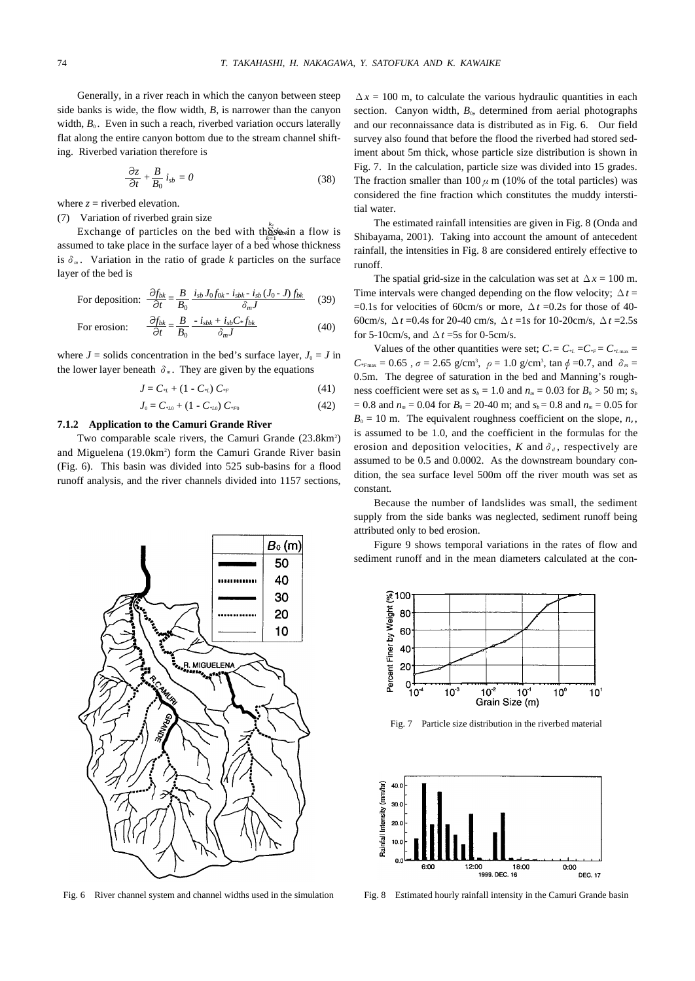Generally, in a river reach in which the canyon between steep side banks is wide, the flow width, *B*, is narrower than the canyon width,  $B_0$ . Even in such a reach, riverbed variation occurs laterally flat along the entire canyon bottom due to the stream channel shifting. Riverbed variation therefore is

$$
\frac{\partial z}{\partial t} + \frac{B}{B_0} i_{sb} = 0 \tag{38}
$$

where  $z =$  riverbed elevation.

(7) Variation of riverbed grain size

*Exchange of particles on the bed with the <i>k*essin a flow is assumed to take place in the surface layer of a bed whose thickness is  $\delta_m$ . Variation in the ratio of grade *k* particles on the surface layer of the bed is

For deposition: 
$$
\frac{\partial f_{bk}}{\partial t} = \frac{B}{B_0} \frac{i_{sb} J_0 f_{0k} - i_{sbk} - i_{sb} (J_0 - J) f_{bk}}{\delta_m J}
$$
 (39)

For erosion: 
$$
\frac{\partial f_{bk}}{\partial t} = \frac{B}{B_0} - \frac{i_{sbk} + i_{sb}C_*f_{bk}}{\delta_m J}
$$
(40)

where  $J =$  solids concentration in the bed's surface layer,  $J_0 = J$  in the lower layer beneath  $\delta_m$ . They are given by the equations

$$
J = C_{*L} + (1 - C_{*L}) C_{*F}
$$
 (41)

$$
J_0 = C_{*L0} + (1 - C_{*L0}) C_{*F0}
$$
 (42)

#### **7.1.2 Application to the Camuri Grande River**

Two comparable scale rivers, the Camuri Grande (23.8km<sup>2</sup>) and Miguelena (19.0km<sup>2</sup>) form the Camuri Grande River basin (Fig. 6). This basin was divided into 525 sub-basins for a flood runoff analysis, and the river channels divided into 1157 sections,



Fig. 6 River channel system and channel widths used in the simulation

 $\Delta x = 100$  m, to calculate the various hydraulic quantities in each section. Canyon width,  $B<sub>0</sub>$ , determined from aerial photographs and our reconnaissance data is distributed as in Fig. 6. Our field survey also found that before the flood the riverbed had stored sediment about 5m thick, whose particle size distribution is shown in Fig. 7. In the calculation, particle size was divided into 15 grades. The fraction smaller than  $100 \mu$  m (10% of the total particles) was considered the fine fraction which constitutes the muddy interstitial water.

The estimated rainfall intensities are given in Fig. 8 (Onda and Shibayama, 2001). Taking into account the amount of antecedent rainfall, the intensities in Fig. 8 are considered entirely effective to runoff.

The spatial grid-size in the calculation was set at  $\Delta x = 100$  m. Time intervals were changed depending on the flow velocity;  $\Delta t =$ =0.1s for velocities of 60cm/s or more,  $\Delta t$  =0.2s for those of 40-60cm/s, Δ*t* =0.4s for 20-40 cm/s, Δ*t* =1s for 10-20cm/s, Δ*t* =2.5s for 5-10cm/s, and  $\Delta t$  =5s for 0-5cm/s.

Values of the other quantities were set;  $C_* = C_{*L} = C_{*F} = C_{*L}$  $C_{*_{Fmax}} = 0.65$ ,  $\sigma = 2.65$  g/cm<sup>3</sup>,  $\rho = 1.0$  g/cm<sup>3</sup>, tan  $\phi = 0.7$ , and  $\delta_m =$ 0.5m. The degree of saturation in the bed and Manning's roughness coefficient were set as  $s_b = 1.0$  and  $n_m = 0.03$  for  $B_0 > 50$  m;  $s_b$  $= 0.8$  and  $n_m = 0.04$  for  $B_0 = 20-40$  m; and  $s_b = 0.8$  and  $n_m = 0.05$  for  $B_0 = 10$  m. The equivalent roughness coefficient on the slope,  $n_e$ , is assumed to be 1.0, and the coefficient in the formulas for the erosion and deposition velocities,  $K$  and  $\delta_d$ , respectively are assumed to be 0.5 and 0.0002. As the downstream boundary condition, the sea surface level 500m off the river mouth was set as constant.

Because the number of landslides was small, the sediment supply from the side banks was neglected, sediment runoff being attributed only to bed erosion.

Figure 9 shows temporal variations in the rates of flow and sediment runoff and in the mean diameters calculated at the con-



Fig. 7 Particle size distribution in the riverbed material



Fig. 8 Estimated hourly rainfall intensity in the Camuri Grande basin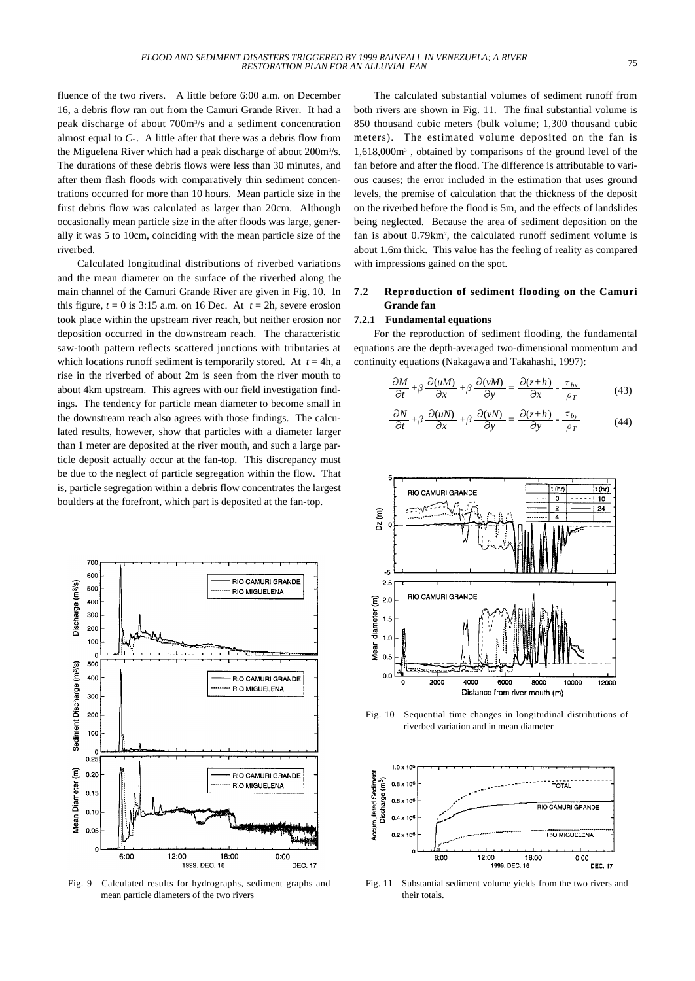fluence of the two rivers. A little before 6:00 a.m. on December 16, a debris flow ran out from the Camuri Grande River. It had a peak discharge of about 700m3 /s and a sediment concentration almost equal to  $C^*$ . A little after that there was a debris flow from the Miguelena River which had a peak discharge of about 200m<sup>3</sup>/s. The durations of these debris flows were less than 30 minutes, and after them flash floods with comparatively thin sediment concentrations occurred for more than 10 hours. Mean particle size in the first debris flow was calculated as larger than 20cm. Although occasionally mean particle size in the after floods was large, generally it was 5 to 10cm, coinciding with the mean particle size of the riverbed.

Calculated longitudinal distributions of riverbed variations and the mean diameter on the surface of the riverbed along the main channel of the Camuri Grande River are given in Fig. 10. In this figure,  $t = 0$  is 3:15 a.m. on 16 Dec. At  $t = 2h$ , severe erosion took place within the upstream river reach, but neither erosion nor deposition occurred in the downstream reach. The characteristic saw-tooth pattern reflects scattered junctions with tributaries at which locations runoff sediment is temporarily stored. At  $t = 4h$ , a rise in the riverbed of about 2m is seen from the river mouth to about 4km upstream. This agrees with our field investigation findings. The tendency for particle mean diameter to become small in the downstream reach also agrees with those findings. The calculated results, however, show that particles with a diameter larger than 1 meter are deposited at the river mouth, and such a large particle deposit actually occur at the fan-top. This discrepancy must be due to the neglect of particle segregation within the flow. That is, particle segregation within a debris flow concentrates the largest boulders at the forefront, which part is deposited at the fan-top.



Fig. 9 Calculated results for hydrographs, sediment graphs and mean particle diameters of the two rivers

The calculated substantial volumes of sediment runoff from both rivers are shown in Fig. 11. The final substantial volume is 850 thousand cubic meters (bulk volume; 1,300 thousand cubic meters). The estimated volume deposited on the fan is 1,618,000m3 , obtained by comparisons of the ground level of the fan before and after the flood. The difference is attributable to various causes; the error included in the estimation that uses ground levels, the premise of calculation that the thickness of the deposit on the riverbed before the flood is 5m, and the effects of landslides being neglected. Because the area of sediment deposition on the fan is about 0.79km<sup>2</sup>, the calculated runoff sediment volume is about 1.6m thick. This value has the feeling of reality as compared with impressions gained on the spot.

## **7.2 Reproduction of sediment flooding on the Camuri Grande fan**

## **7.2.1 Fundamental equations**

For the reproduction of sediment flooding, the fundamental equations are the depth-averaged two-dimensional momentum and continuity equations (Nakagawa and Takahashi, 1997):

$$
\frac{\partial M}{\partial t} + \beta \frac{\partial (uM)}{\partial x} + \beta \frac{\partial (vM)}{\partial y} = \frac{\partial (z+h)}{\partial x} - \frac{\tau_{bx}}{\rho_T}
$$
(43)

$$
\frac{\partial N}{\partial t} + \beta \frac{\partial (uN)}{\partial x} + \beta \frac{\partial (vN)}{\partial y} = \frac{\partial (z+h)}{\partial y} - \frac{\tau_{by}}{\rho_T}
$$
(44)



Fig. 10 Sequential time changes in longitudinal distributions of riverbed variation and in mean diameter



Fig. 11 Substantial sediment volume yields from the two rivers and their totals.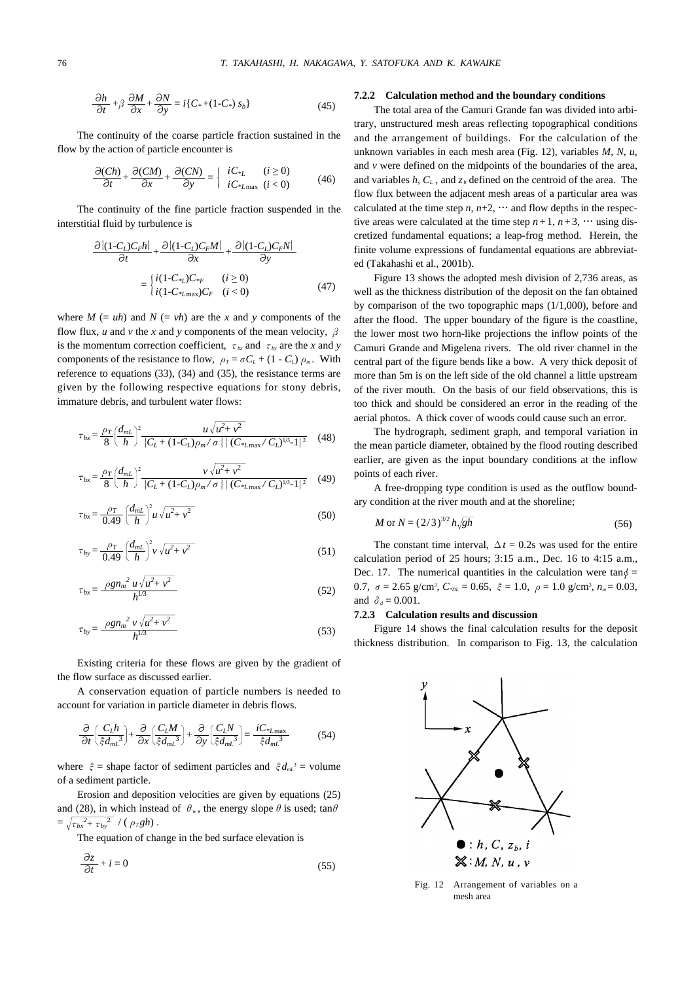$$
\frac{\partial h}{\partial t} + \beta \frac{\partial M}{\partial x} + \frac{\partial N}{\partial y} = i \{ C_* + (1 - C_*) s_b \}
$$
 (45)

The continuity of the coarse particle fraction sustained in the flow by the action of particle encounter is

$$
\frac{\partial (Ch)}{\partial t} + \frac{\partial (CM)}{\partial x} + \frac{\partial (CN)}{\partial y} = \begin{cases} iC_{*L} & (i \ge 0) \\ iC_{*L\text{max}} & (i < 0) \end{cases} \tag{46}
$$

The continuity of the fine particle fraction suspended in the interstitial fluid by turbulence is

$$
\frac{\partial \left\{ (1 - C_L)C_F h \right\}}{\partial t} + \frac{\partial \left\{ (1 - C_L)C_F M \right\}}{\partial x} + \frac{\partial \left\{ (1 - C_L)C_F N \right\}}{\partial y}
$$
\n
$$
= \begin{cases} i(1 - C_{\frac{s_L}{c}})C_{\frac{s_F}{c}} & (i \ge 0) \\ i(1 - C_{\frac{s_L}{c}})C_F & (i < 0) \end{cases} \tag{47}
$$

where  $M = uh$  and  $N = vh$  are the *x* and *y* components of the flow flux, *u* and *v* the *x* and *y* components of the mean velocity,  $\beta$ is the momentum correction coefficient,  $\tau_{bx}$  and  $\tau_{by}$  are the *x* and *y* components of the resistance to flow,  $\rho_T = \sigma C_L + (1 - C_L) \rho_m$ . With reference to equations (33), (34) and (35), the resistance terms are given by the following respective equations for stony debris, immature debris, and turbulent water flows:

$$
\tau_{bx} = \frac{\rho_T}{8} \left( \frac{d_{mL}}{h} \right)^2 \frac{u \sqrt{u^2 + v^2}}{\left\{ C_L + (1 - C_L)\rho_m / \sigma \right\} \left\{ (C_{\ast L \max} / C_L)^{1/3} \cdot 1 \right\}^2} \tag{48}
$$

$$
\tau_{bx} = \frac{\rho_T}{8} \left( \frac{d_{mL}}{h} \right)^2 \frac{\nu \sqrt{u^2 + \nu^2}}{\left\{ C_L + (1 - C_L)\rho_m / \sigma \right\} \left\{ (C_{*L\max} / C_L)^{1/3} - 1 \right\}^2} \tag{49}
$$

$$
\tau_{bx} = \frac{\rho_T}{0.49} \left(\frac{d_{mL}}{h}\right)^2 u \sqrt{u^2 + v^2} \tag{50}
$$

$$
\tau_{by} = \frac{\rho_T}{0.49} \left(\frac{d_{mL}}{h}\right)^2 v \sqrt{u^2 + v^2} \tag{51}
$$

$$
\tau_{bx} = \frac{\rho g n_m^2 u \sqrt{u^2 + v^2}}{h^{1/3}}
$$
 (52)

$$
\tau_{by} = \frac{\rho g n_m^2 v \sqrt{u^2 + v^2}}{h^{1/3}}
$$
\n(53)

Existing criteria for these flows are given by the gradient of the flow surface as discussed earlier.

A conservation equation of particle numbers is needed to account for variation in particle diameter in debris flows.

$$
\frac{\partial}{\partial t} \left( \frac{C_L h}{\xi d_{mL}^3} \right) + \frac{\partial}{\partial x} \left( \frac{C_L M}{\xi d_{mL}^3} \right) + \frac{\partial}{\partial y} \left( \frac{C_L N}{\xi d_{mL}^3} \right) = \frac{i C_{^*L \text{max}}}{\xi d_{mL}^3} \tag{54}
$$

where  $\xi$  = shape factor of sediment particles and  $\xi d_{m}^3$  = volume of a sediment particle.

Erosion and deposition velocities are given by equations (25) and (28), in which instead of  $\theta_w$ , the energy slope  $\theta$  is used; tan $\theta$  $=\sqrt{\tau_{bx}^2+\tau_{by}^2}$  / ( $\rho_T gh$ ).

The equation of change in the bed surface elevation is

$$
\frac{\partial z}{\partial t} + i = 0 \tag{55}
$$

### **7.2.2 Calculation method and the boundary conditions**

The total area of the Camuri Grande fan was divided into arbitrary, unstructured mesh areas reflecting topographical conditions and the arrangement of buildings. For the calculation of the unknown variables in each mesh area (Fig. 12), variables *M*, *N*, *u*, and  $\nu$  were defined on the midpoints of the boundaries of the area, and variables  $h, C_L$ , and  $z_b$  defined on the centroid of the area. The flow flux between the adjacent mesh areas of a particular area was calculated at the time step  $n, n+2, \cdots$  and flow depths in the respective areas were calculated at the time step  $n+1$ ,  $n+3$ , … using discretized fundamental equations; a leap-frog method. Herein, the finite volume expressions of fundamental equations are abbreviated (Takahashi et al., 2001b).

Figure 13 shows the adopted mesh division of 2,736 areas, as well as the thickness distribution of the deposit on the fan obtained by comparison of the two topographic maps (1/1,000), before and after the flood. The upper boundary of the figure is the coastline, the lower most two horn-like projections the inflow points of the Camuri Grande and Migelena rivers. The old river channel in the central part of the figure bends like a bow. A very thick deposit of more than 5m is on the left side of the old channel a little upstream of the river mouth. On the basis of our field observations, this is too thick and should be considered an error in the reading of the aerial photos. A thick cover of woods could cause such an error.

The hydrograph, sediment graph, and temporal variation in the mean particle diameter, obtained by the flood routing described earlier, are given as the input boundary conditions at the inflow points of each river.

A free-dropping type condition is used as the outflow boundary condition at the river mouth and at the shoreline;

$$
M \text{ or } N = (2/3)^{3/2} h \sqrt{gh}
$$
 (56)

The constant time interval,  $\Delta t = 0.2$ s was used for the entire calculation period of 25 hours; 3:15 a.m., Dec. 16 to 4:15 a.m., Dec. 17. The numerical quantities in the calculation were tan $\phi$  = 0.7,  $\sigma = 2.65$  g/cm<sup>3</sup>,  $C_{\text{pL}} = 0.65$ ,  $\xi = 1.0$ ,  $\rho = 1.0$  g/cm<sup>3</sup>,  $n_m = 0.03$ , and  $\delta_d = 0.001$ .

#### **7.2.3 Calculation results and discussion**

Figure 14 shows the final calculation results for the deposit thickness distribution. In comparison to Fig. 13, the calculation



Fig. 12 Arrangement of variables on a mesh area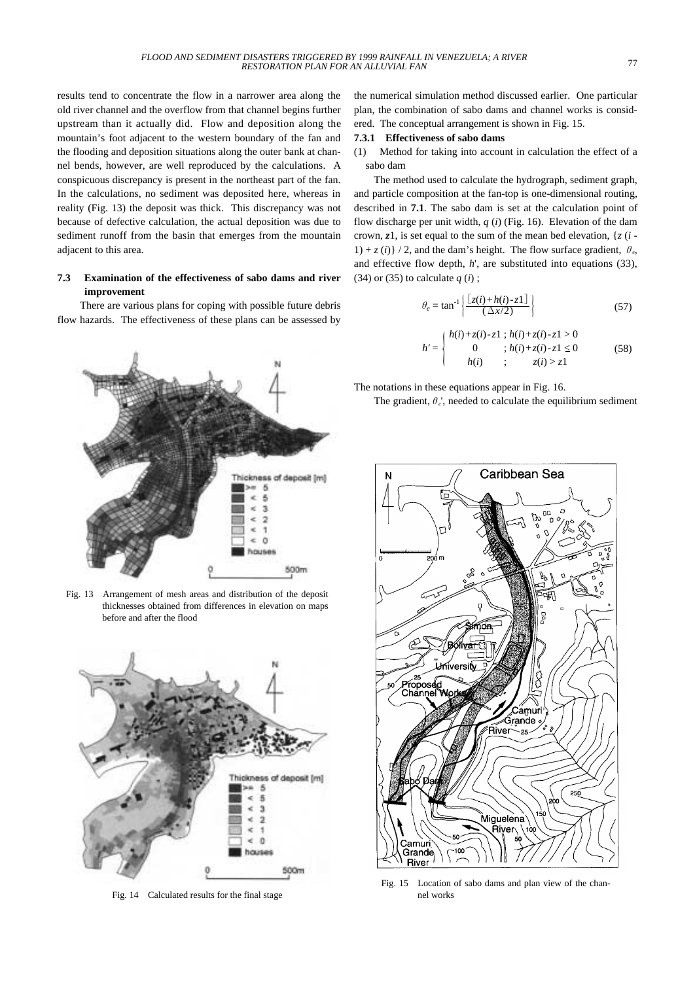results tend to concentrate the flow in a narrower area along the old river channel and the overflow from that channel begins further upstream than it actually did. Flow and deposition along the mountain's foot adjacent to the western boundary of the fan and the flooding and deposition situations along the outer bank at channel bends, however, are well reproduced by the calculations. A conspicuous discrepancy is present in the northeast part of the fan. In the calculations, no sediment was deposited here, whereas in reality (Fig. 13) the deposit was thick. This discrepancy was not because of defective calculation, the actual deposition was due to sediment runoff from the basin that emerges from the mountain adjacent to this area.

## **7.3 Examination of the effectiveness of sabo dams and river improvement**

There are various plans for coping with possible future debris flow hazards. The effectiveness of these plans can be assessed by



Fig. 13 Arrangement of mesh areas and distribution of the deposit thicknesses obtained from differences in elevation on maps before and after the flood



Fig. 14 Calculated results for the final stage

the numerical simulation method discussed earlier. One particular plan, the combination of sabo dams and channel works is considered. The conceptual arrangement is shown in Fig. 15.

#### **7.3.1 Effectiveness of sabo dams**

(1) Method for taking into account in calculation the effect of a sabo dam

The method used to calculate the hydrograph, sediment graph, and particle composition at the fan-top is one-dimensional routing, described in **7.1**. The sabo dam is set at the calculation point of flow discharge per unit width,  $q(i)$  (Fig. 16). Elevation of the dam crown, *z*1, is set equal to the sum of the mean bed elevation, {*z* (*i* -  $1) + z(i)$  / 2, and the dam's height. The flow surface gradient,  $\theta_e$ , and effective flow depth, *h*', are substituted into equations (33), (34) or (35) to calculate  $q(i)$ ;

$$
\theta_e = \tan^{-1}\left\{\frac{\left[z(i) + h(i) - z1\right]}{(\Delta x/2)}\right\} \tag{57}
$$

$$
h' = \begin{cases} h(i) + z(i) - z1 \, ; \, h(i) + z(i) - z1 > 0 \\ 0 & ; \, h(i) + z(i) - z1 \le 0 \\ h(i) & ; \qquad z(i) > z1 \end{cases} \tag{58}
$$

The notations in these equations appear in Fig. 16.

The gradient,  $\theta_e$ <sup>'</sup>, needed to calculate the equilibrium sediment



Fig. 15 Location of sabo dams and plan view of the channel works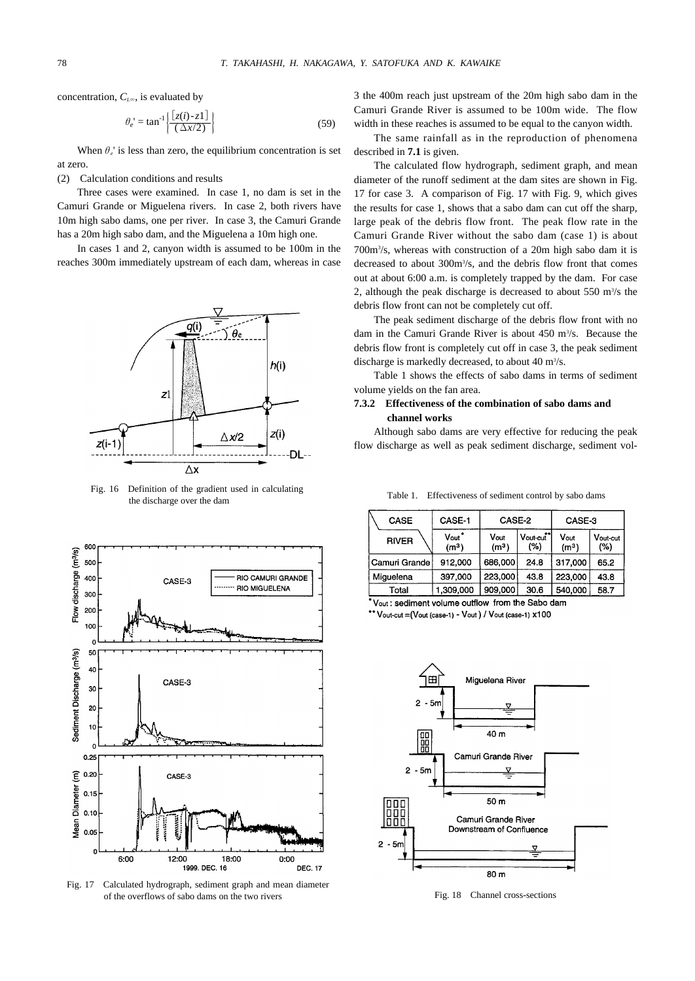concentration, *CL*∞, is evaluated by

$$
\theta_e = \tan^{-1} \left\{ \frac{\left[ z(i) - z1 \right]}{\left( \Delta x/2 \right)} \right\} \tag{59}
$$

When  $\theta_e$ ' is less than zero, the equilibrium concentration is set at zero.

(2) Calculation conditions and results

Three cases were examined. In case 1, no dam is set in the Camuri Grande or Miguelena rivers. In case 2, both rivers have 10m high sabo dams, one per river. In case 3, the Camuri Grande has a 20m high sabo dam, and the Miguelena a 10m high one.

In cases 1 and 2, canyon width is assumed to be 100m in the reaches 300m immediately upstream of each dam, whereas in case



Fig. 16 Definition of the gradient used in calculating the discharge over the dam



Fig. 17 Calculated hydrograph, sediment graph and mean diameter of the overflows of sabo dams on the two rivers

3 the 400m reach just upstream of the 20m high sabo dam in the Camuri Grande River is assumed to be 100m wide. The flow width in these reaches is assumed to be equal to the canyon width.

The same rainfall as in the reproduction of phenomena described in **7.1** is given.

The calculated flow hydrograph, sediment graph, and mean diameter of the runoff sediment at the dam sites are shown in Fig. 17 for case 3. A comparison of Fig. 17 with Fig. 9, which gives the results for case 1, shows that a sabo dam can cut off the sharp, large peak of the debris flow front. The peak flow rate in the Camuri Grande River without the sabo dam (case 1) is about 700m3 /s, whereas with construction of a 20m high sabo dam it is decreased to about 300m<sup>3</sup>/s, and the debris flow front that comes out at about 6:00 a.m. is completely trapped by the dam. For case 2, although the peak discharge is decreased to about  $550 \text{ m}^3/\text{s}$  the debris flow front can not be completely cut off.

The peak sediment discharge of the debris flow front with no dam in the Camuri Grande River is about 450 m<sup>3</sup>/s. Because the debris flow front is completely cut off in case 3, the peak sediment discharge is markedly decreased, to about 40 m<sup>3</sup>/s.

Table 1 shows the effects of sabo dams in terms of sediment volume yields on the fan area.

# **7.3.2 Effectiveness of the combination of sabo dams and channel works**

Although sabo dams are very effective for reducing the peak flow discharge as well as peak sediment discharge, sediment vol-

Table 1. Effectiveness of sediment control by sabo dams

| <b>CASE</b>   | CASE-1                                      | CASE-2                    |                               | CASE-3                    |                 |
|---------------|---------------------------------------------|---------------------------|-------------------------------|---------------------------|-----------------|
| <b>RIVER</b>  | $V_{out}$ <sup>*</sup><br>(m <sup>3</sup> ) | Vout<br>(m <sup>3</sup> ) | Vout-cut <sup>**</sup><br>(%) | Vout<br>(m <sup>3</sup> ) | Vout-cut<br>(%) |
| Camuri Grande | 912.000                                     | 686,000                   | 24.8                          | 317,000                   | 65.2            |
| Miguelena     | 397,000                                     | 223,000                   | 43.8                          | 223,000                   | 43.8            |
| Total         | 1,309,000                                   | 909,000                   | 30.6                          | 540,000                   | 58.7            |

\*Vout: sediment volume outflow from the Sabo dam

\*\* Vout-cut = (Vout (case-1) - Vout ) / Vout (case-1) x100



Fig. 18 Channel cross-sections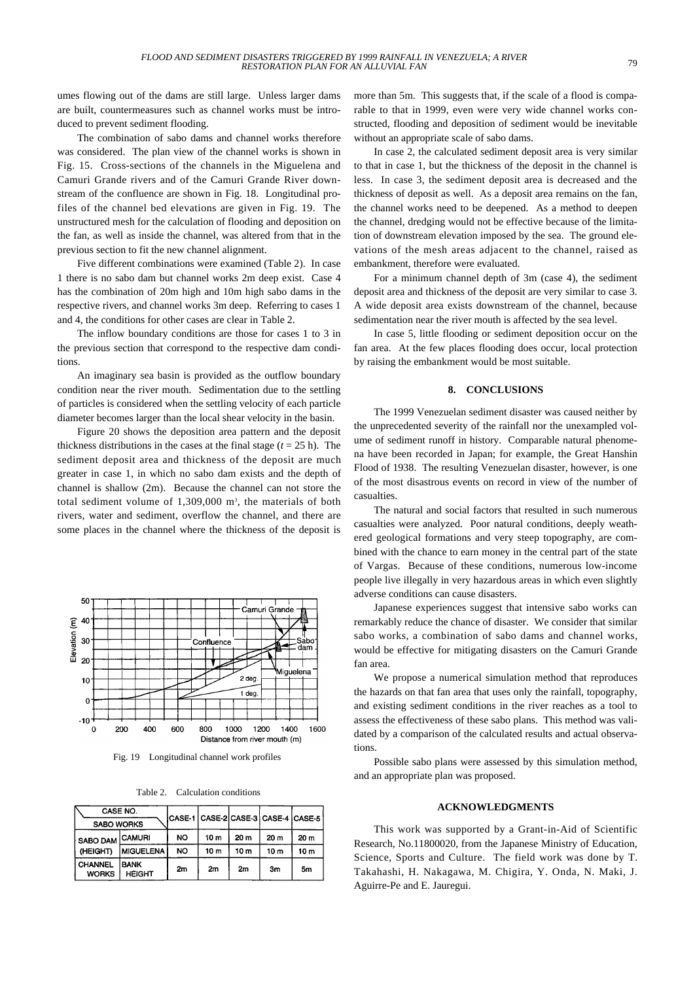umes flowing out of the dams are still large. Unless larger dams are built, countermeasures such as channel works must be introduced to prevent sediment flooding.

The combination of sabo dams and channel works therefore was considered. The plan view of the channel works is shown in Fig. 15. Cross-sections of the channels in the Miguelena and Camuri Grande rivers and of the Camuri Grande River downstream of the confluence are shown in Fig. 18. Longitudinal profiles of the channel bed elevations are given in Fig. 19. The unstructured mesh for the calculation of flooding and deposition on the fan, as well as inside the channel, was altered from that in the previous section to fit the new channel alignment.

Five different combinations were examined (Table 2). In case 1 there is no sabo dam but channel works 2m deep exist. Case 4 has the combination of 20m high and 10m high sabo dams in the respective rivers, and channel works 3m deep. Referring to cases 1 and 4, the conditions for other cases are clear in Table 2.

The inflow boundary conditions are those for cases 1 to 3 in the previous section that correspond to the respective dam conditions.

An imaginary sea basin is provided as the outflow boundary condition near the river mouth. Sedimentation due to the settling of particles is considered when the settling velocity of each particle diameter becomes larger than the local shear velocity in the basin.

Figure 20 shows the deposition area pattern and the deposit thickness distributions in the cases at the final stage  $(t = 25 \text{ h})$ . The sediment deposit area and thickness of the deposit are much greater in case 1, in which no sabo dam exists and the depth of channel is shallow (2m). Because the channel can not store the total sediment volume of 1,309,000 m<sup>3</sup>, the materials of both rivers, water and sediment, overflow the channel, and there are some places in the channel where the thickness of the deposit is



Fig. 19 Longitudinal channel work profiles

| CASE NO.<br><b>SABO WORKS</b>  |                              |           |                 |      | CASE-1 CASE-2 CASE-3 CASE-4 CASE-5 |      |
|--------------------------------|------------------------------|-----------|-----------------|------|------------------------------------|------|
| SABO DAM CAMURI<br>(HEIGHT)    |                              | <b>NO</b> | 10 <sub>m</sub> | 20 m | 20 <sub>m</sub>                    | 20 m |
|                                | <b>MIGUELENA</b>             | NO.       | 10 <sub>m</sub> | 10 m | 10 <sub>m</sub>                    | 10 m |
| <b>CHANNEL</b><br><b>WORKS</b> | <b>BANK</b><br><b>HEIGHT</b> | 2m        | 2m              | 2m   | 3m                                 | 5m   |

more than 5m. This suggests that, if the scale of a flood is comparable to that in 1999, even were very wide channel works constructed, flooding and deposition of sediment would be inevitable without an appropriate scale of sabo dams.

In case 2, the calculated sediment deposit area is very similar to that in case 1, but the thickness of the deposit in the channel is less. In case 3, the sediment deposit area is decreased and the thickness of deposit as well. As a deposit area remains on the fan, the channel works need to be deepened. As a method to deepen the channel, dredging would not be effective because of the limitation of downstream elevation imposed by the sea. The ground elevations of the mesh areas adjacent to the channel, raised as embankment, therefore were evaluated.

For a minimum channel depth of 3m (case 4), the sediment deposit area and thickness of the deposit are very similar to case 3. A wide deposit area exists downstream of the channel, because sedimentation near the river mouth is affected by the sea level.

In case 5, little flooding or sediment deposition occur on the fan area. At the few places flooding does occur, local protection by raising the embankment would be most suitable.

### **8. CONCLUSIONS**

The 1999 Venezuelan sediment disaster was caused neither by the unprecedented severity of the rainfall nor the unexampled volume of sediment runoff in history. Comparable natural phenomena have been recorded in Japan; for example, the Great Hanshin Flood of 1938. The resulting Venezuelan disaster, however, is one of the most disastrous events on record in view of the number of casualties.

The natural and social factors that resulted in such numerous casualties were analyzed. Poor natural conditions, deeply weathered geological formations and very steep topography, are combined with the chance to earn money in the central part of the state of Vargas. Because of these conditions, numerous low-income people live illegally in very hazardous areas in which even slightly adverse conditions can cause disasters.

Japanese experiences suggest that intensive sabo works can remarkably reduce the chance of disaster. We consider that similar sabo works, a combination of sabo dams and channel works, would be effective for mitigating disasters on the Camuri Grande fan area.

We propose a numerical simulation method that reproduces the hazards on that fan area that uses only the rainfall, topography, and existing sediment conditions in the river reaches as a tool to assess the effectiveness of these sabo plans. This method was validated by a comparison of the calculated results and actual observations.

Possible sabo plans were assessed by this simulation method, and an appropriate plan was proposed.

#### **ACKNOWLEDGMENTS**

This work was supported by a Grant-in-Aid of Scientific Research, No.11800020, from the Japanese Ministry of Education, Science, Sports and Culture. The field work was done by T. Takahashi, H. Nakagawa, M. Chigira, Y. Onda, N. Maki, J. Aguirre-Pe and E. Jauregui.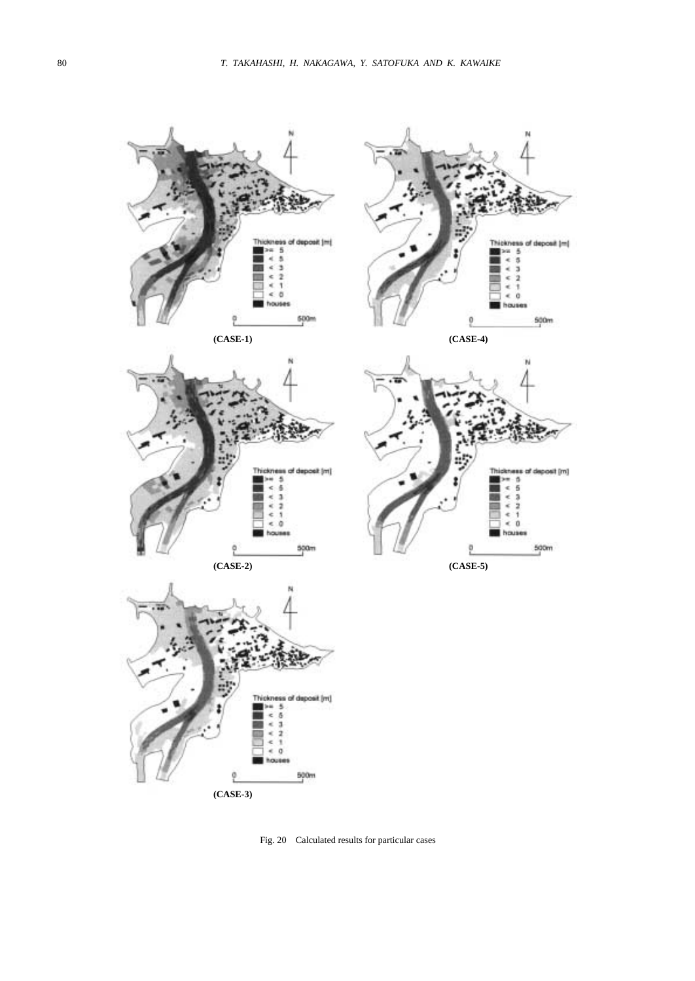

**(CASE-3)**

Fig. 20 Calculated results for particular cases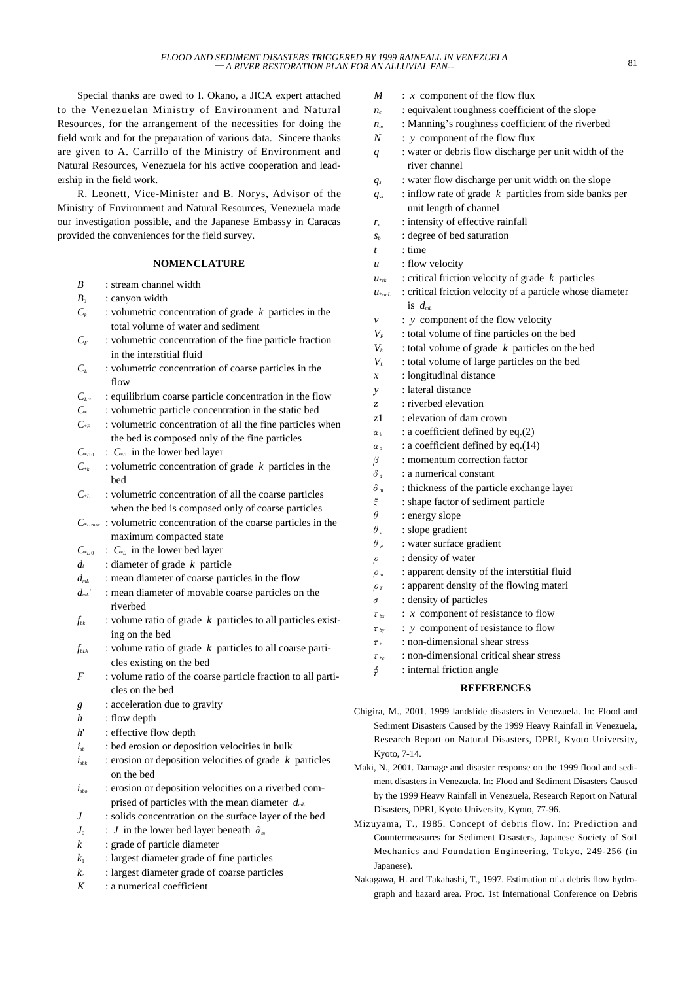Special thanks are owed to I. Okano, a JICA expert attached to the Venezuelan Ministry of Environment and Natural Resources, for the arrangement of the necessities for doing the field work and for the preparation of various data. Sincere thanks are given to A. Carrillo of the Ministry of Environment and Natural Resources, Venezuela for his active cooperation and leadership in the field work.

R. Leonett, Vice-Minister and B. Norys, Advisor of the Ministry of Environment and Natural Resources, Venezuela made our investigation possible, and the Japanese Embassy in Caracas provided the conveniences for the field survey.

## **NOMENCLATURE**

- *B* : stream channel width
- $B_0$  : canyon width
- $C_k$  : volumetric concentration of grade  $k$  particles in the total volume of water and sediment
- $C_F$ : volumetric concentration of the fine particle fraction in the interstitial fluid
- *CL* : volumetric concentration of coarse particles in the flow
- *C*<sub>*L∞*</sub> : equilibrium coarse particle concentration in the flow
- *C*\* : volumetric particle concentration in the static bed
- $C_{*F}$  : volumetric concentration of all the fine particles when the bed is composed only of the fine particles
- $C_{*F}$  :  $C_{*F}$  in the lower bed layer
- $C^*$  : volumetric concentration of grade *k* particles in the bed
- $C_{\alpha}$  : volumetric concentration of all the coarse particles when the bed is composed only of coarse particles
- *C*\**L* max : volumetric concentration of the coarse particles in the maximum compacted state
- $C_{*L0}$  :  $C_{*L}$  in the lower bed layer
- *dk* : diameter of grade *k* particle
- *d<sub>mL</sub>* : mean diameter of coarse particles in the flow
- *dmL*' : mean diameter of movable coarse particles on the riverbed
- $f_{bk}$  : volume ratio of grade  $k$  particles to all particles existing on the bed
- $f_{bLk}$  : volume ratio of grade  $k$  particles to all coarse particles existing on the bed
- *F* : volume ratio of the coarse particle fraction to all particles on the bed
- *g* : acceleration due to gravity
- *h* : flow depth
- *h*' : effective flow depth
- $i_{sb}$  : bed erosion or deposition velocities in bulk
- *isbk* : erosion or deposition velocities of grade *k* particles on the bed
- *isbo* : erosion or deposition velocities on a riverbed comprised of particles with the mean diameter *dmL*
- *J* : solids concentration on the surface layer of the bed
- $J_0$  : *J* in the lower bed layer beneath  $\delta_m$
- *k* : grade of particle diameter
- $k_1$  : largest diameter grade of fine particles
- *ke* : largest diameter grade of coarse particles
- *K* : a numerical coefficient
- *M* : *x* component of the flow flux
- *n<sub>e</sub>* : equivalent roughness coefficient of the slope
- *n<sub>m</sub>* : Manning's roughness coefficient of the riverbed
- *N* : *y* component of the flow flux
- *q* : water or debris flow discharge per unit width of the river channel
- *qs* : water flow discharge per unit width on the slope
- *qsk* : inflow rate of grade *k* particles from side banks per unit length of channel
- *re* : intensity of effective rainfall
- $s<sub>b</sub>$  : degree of bed saturation
- *t* : time
- *u* : flow velocity
- $u_{**}$  : critical friction velocity of grade *k* particles
- *u*\**cmL* : critical friction velocity of a particle whose diameter is *dmL*
- *v* : *y* component of the flow velocity
- *V<sub>F</sub>* : total volume of fine particles on the bed
- $V_k$  : total volume of grade  $k$  particles on the bed
- *V<sub>L</sub>* : total volume of large particles on the bed
- *x* : longitudinal distance
- *y* : lateral distance
- *z* : riverbed elevation
- *z*1 : elevation of dam crown
- $\alpha_k$  : a coefficient defined by eq.(2)
- α*<sup>o</sup>* : a coefficient defined by eq.(14)
- $\beta$  : momentum correction factor
- δ*<sup>d</sup>* : a numerical constant
- δ*<sup>m</sup>* : thickness of the particle exchange layer
- ξ : shape factor of sediment particle
- $\theta$  : energy slope
- $\theta$ <sub>s</sub> : slope gradient
- $\theta_w$  : water surface gradient
- $\rho$  : density of water
- ρ*<sup>m</sup>* : apparent density of the interstitial fluid
- $\rho_T$  : apparent density of the flowing materi
- $\sigma$  : density of particles
- τ*bx* : *x* component of resistance to flow
- τ*by* : *y* component of resistance to flow
- $\tau$  : non-dimensional shear stress
- τ\**<sup>c</sup>* : non-dimensional critical shear stress
- $\phi$  : internal friction angle

## **REFERENCES**

- Chigira, M., 2001. 1999 landslide disasters in Venezuela. In: Flood and Sediment Disasters Caused by the 1999 Heavy Rainfall in Venezuela, Research Report on Natural Disasters, DPRI, Kyoto University, Kyoto, 7-14.
- Maki, N., 2001. Damage and disaster response on the 1999 flood and sediment disasters in Venezuela. In: Flood and Sediment Disasters Caused by the 1999 Heavy Rainfall in Venezuela, Research Report on Natural Disasters, DPRI, Kyoto University, Kyoto, 77-96.
- Mizuyama, T., 1985. Concept of debris flow. In: Prediction and Countermeasures for Sediment Disasters, Japanese Society of Soil Mechanics and Foundation Engineering, Tokyo, 249-256 (in Japanese).
- Nakagawa, H. and Takahashi, T., 1997. Estimation of a debris flow hydrograph and hazard area. Proc. 1st International Conference on Debris